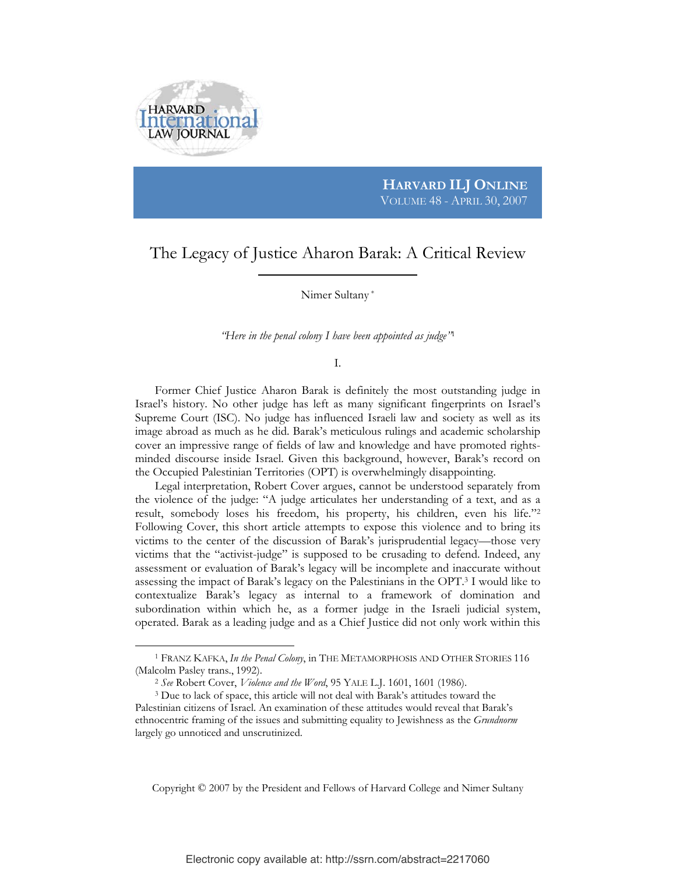

 $\overline{a}$ 

## **HARVARD ILJ ONLINE** VOLUME 48 - APRIL 30, 2007

## The Legacy of Justice Aharon Barak: A Critical Review

Nimer Sultany \*

*"Here in the penal colony I have been appointed as judge"*<sup>1</sup>

I.

 Former Chief Justice Aharon Barak is definitely the most outstanding judge in Israel's history. No other judge has left as many significant fingerprints on Israel's Supreme Court (ISC). No judge has influenced Israeli law and society as well as its image abroad as much as he did. Barak's meticulous rulings and academic scholarship cover an impressive range of fields of law and knowledge and have promoted rightsminded discourse inside Israel. Given this background, however, Barak's record on the Occupied Palestinian Territories (OPT) is overwhelmingly disappointing.

 Legal interpretation, Robert Cover argues, cannot be understood separately from the violence of the judge: "A judge articulates her understanding of a text, and as a result, somebody loses his freedom, his property, his children, even his life."2 Following Cover, this short article attempts to expose this violence and to bring its victims to the center of the discussion of Barak's jurisprudential legacy—those very victims that the "activist-judge" is supposed to be crusading to defend. Indeed, any assessment or evaluation of Barak's legacy will be incomplete and inaccurate without assessing the impact of Barak's legacy on the Palestinians in the OPT.3 I would like to contextualize Barak's legacy as internal to a framework of domination and subordination within which he, as a former judge in the Israeli judicial system, operated. Barak as a leading judge and as a Chief Justice did not only work within this

Copyright © 2007 by the President and Fellows of Harvard College and Nimer Sultany

<sup>1</sup> FRANZ KAFKA, *In the Penal Colony*, in THE METAMORPHOSIS AND OTHER STORIES 116 (Malcolm Pasley trans., 1992). 2 *See* Robert Cover, *Violence and the Word*, 95 YALE L.J. 1601, 1601 (1986). 3 Due to lack of space, this article will not deal with Barak's attitudes toward the

Palestinian citizens of Israel. An examination of these attitudes would reveal that Barak's ethnocentric framing of the issues and submitting equality to Jewishness as the *Grundnorm* largely go unnoticed and unscrutinized.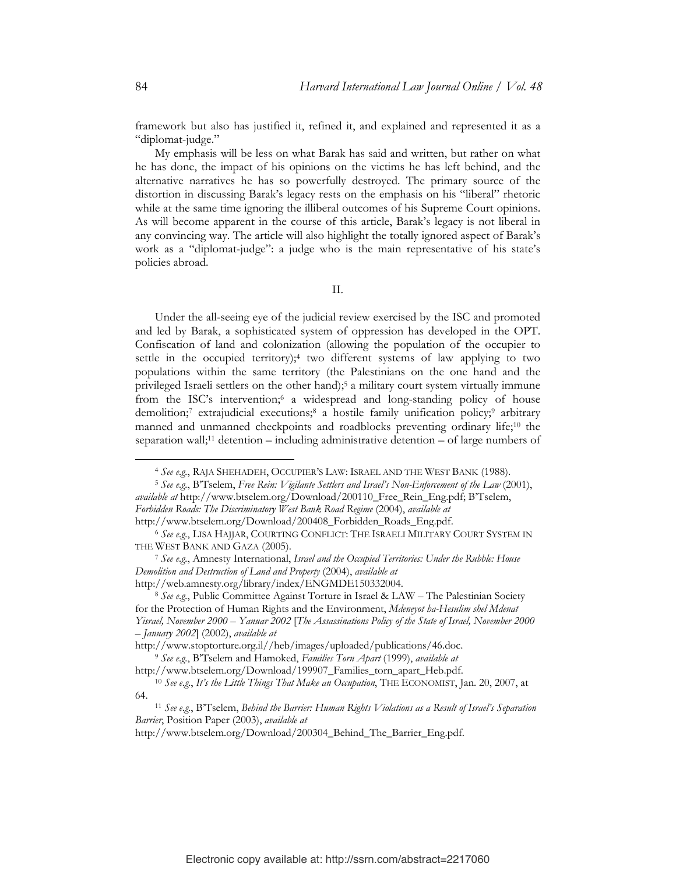framework but also has justified it, refined it, and explained and represented it as a "diplomat-judge."

 My emphasis will be less on what Barak has said and written, but rather on what he has done, the impact of his opinions on the victims he has left behind, and the alternative narratives he has so powerfully destroyed. The primary source of the distortion in discussing Barak's legacy rests on the emphasis on his "liberal" rhetoric while at the same time ignoring the illiberal outcomes of his Supreme Court opinions. As will become apparent in the course of this article, Barak's legacy is not liberal in any convincing way. The article will also highlight the totally ignored aspect of Barak's work as a "diplomat-judge": a judge who is the main representative of his state's policies abroad.

II.

 Under the all-seeing eye of the judicial review exercised by the ISC and promoted and led by Barak, a sophisticated system of oppression has developed in the OPT. Confiscation of land and colonization (allowing the population of the occupier to settle in the occupied territory);<sup>4</sup> two different systems of law applying to two populations within the same territory (the Palestinians on the one hand and the privileged Israeli settlers on the other hand);5 a military court system virtually immune from the ISC's intervention;<sup>6</sup> a widespread and long-standing policy of house demolition;7 extrajudicial executions;8 a hostile family unification policy;9 arbitrary manned and unmanned checkpoints and roadblocks preventing ordinary life;10 the separation wall;<sup>11</sup> detention – including administrative detention – of large numbers of

<sup>4</sup> *See e.g.*, RAJA SHEHADEH, OCCUPIER'S LAW: ISRAEL AND THE WEST BANK (1988). 5 *See e.g.*, B'Tselem, *Free Rein: Vigilante Settlers and Israel's Non-Enforcement of the Law* (2001),

*available at* http://www.btselem.org/Download/200110\_Free\_Rein\_Eng.pdf; B'Tselem, *Forbidden Roads: The Discriminatory West Bank Road Regime* (2004), *available at*

http://www.btselem.org/Download/200408\_Forbidden\_Roads\_Eng.pdf. 6 *See e.g.*, LISA HAJJAR, COURTING CONFLICT: THE ISRAELI MILITARY COURT SYSTEM IN

THE WEST BANK AND GAZA (2005). 7 *See e.g.*, Amnesty International, *Israel and the Occupied Territories: Under the Rubble: House Demolition and Destruction of Land and Property* (2004), *available at* 

http://web.amnesty.org/library/index/ENGMDE150332004. 8 *See e.g.*, Public Committee Against Torture in Israel & LAW – The Palestinian Society for the Protection of Human Rights and the Environment, *Mdeneyot ha-Hesulim shel Mdenat Yisrael, November 2000 – Yanuar 2002* [*The Assassinations Policy of the State of Israel, November 2000 – January 2002*] (2002), *available at* 

http://www.stoptorture.org.il//heb/images/uploaded/publications/46.doc. 9 *See e.g.*, B'Tselem and Hamoked, *Families Torn Apart* (1999), *available at* 

http://www.btselem.org/Download/199907\_Families\_torn\_apart\_Heb.pdf. 10 *See e.g.*, *It's the Little Things That Make an Occupation*, THE ECONOMIST, Jan. 20, 2007, at

<sup>64. 11</sup> *See e.g.*, B'Tselem, *Behind the Barrier: Human Rights Violations as a Result of Israel's Separation* 

*Barrier*, Position Paper (2003), *available at*

http://www.btselem.org/Download/200304\_Behind\_The\_Barrier\_Eng.pdf.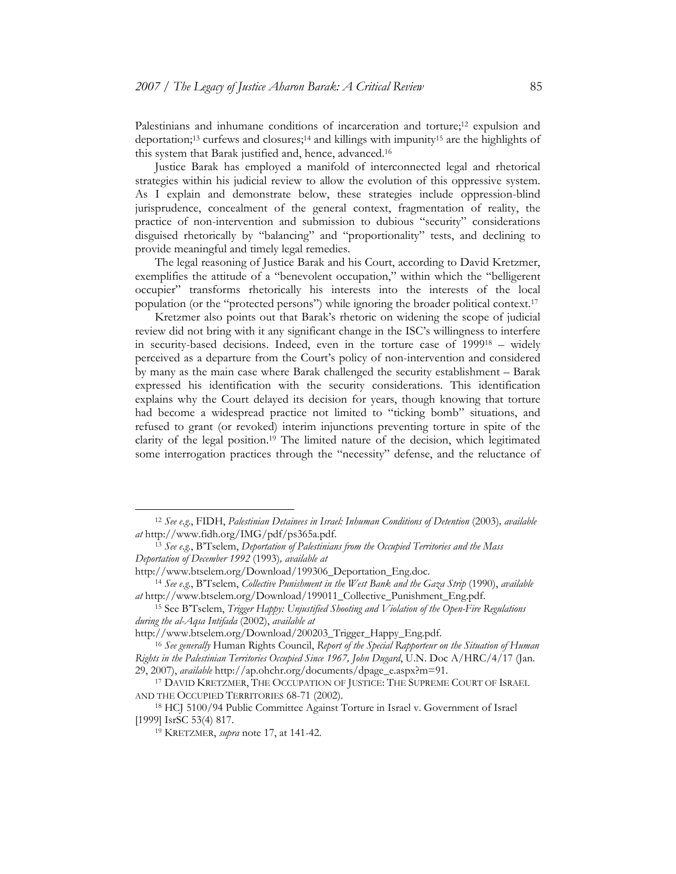Palestinians and inhumane conditions of incarceration and torture;<sup>12</sup> expulsion and deportation;13 curfews and closures;14 and killings with impunity15 are the highlights of this system that Barak justified and, hence, advanced.16

 Justice Barak has employed a manifold of interconnected legal and rhetorical strategies within his judicial review to allow the evolution of this oppressive system. As I explain and demonstrate below, these strategies include oppression-blind jurisprudence, concealment of the general context, fragmentation of reality, the practice of non-intervention and submission to dubious "security" considerations disguised rhetorically by "balancing" and "proportionality" tests, and declining to provide meaningful and timely legal remedies.

 The legal reasoning of Justice Barak and his Court, according to David Kretzmer, exemplifies the attitude of a "benevolent occupation," within which the "belligerent occupier" transforms rhetorically his interests into the interests of the local population (or the "protected persons") while ignoring the broader political context.17

 Kretzmer also points out that Barak's rhetoric on widening the scope of judicial review did not bring with it any significant change in the ISC's willingness to interfere in security-based decisions. Indeed, even in the torture case of 199918 – widely perceived as a departure from the Court's policy of non-intervention and considered by many as the main case where Barak challenged the security establishment – Barak expressed his identification with the security considerations. This identification explains why the Court delayed its decision for years, though knowing that torture had become a widespread practice not limited to "ticking bomb" situations, and refused to grant (or revoked) interim injunctions preventing torture in spite of the clarity of the legal position.19 The limited nature of the decision, which legitimated some interrogation practices through the "necessity" defense, and the reluctance of

<sup>12</sup> *See e.g*., FIDH, *Palestinian Detainees in Israel: Inhuman Conditions of Detention* (2003)*, available at* http://www.fidh.org/IMG/pdf/ps365a.pdf. 13 *See e.g.*, B'Tselem, *Deportation of Palestinians from the Occupied Territories and the Mass* 

*Deportation of December 1992* (1993)*, available at* 

http://www.btselem.org/Download/199306\_Deportation\_Eng.doc. 14 *See e.g.*, B'Tselem, *Collective Punishment in the West Bank and the Gaza Strip* (1990), *available at* http://www.btselem.org/Download/199011\_Collective\_Punishment\_Eng.pdf. 15 See B'Tselem, *Trigger Happy: Unjustified Shooting and Violation of the Open-Fire Regulations* 

*during the al-Aqsa Intifada* (2002), *available at* 

http://www.btselem.org/Download/200203\_Trigger\_Happy\_Eng.pdf. 16 *See generally* Human Rights Council, *Report of the Special Rapporteur on the Situation of Human Rights in the Palestinian Territories Occupied Since 1967, John Dugard*, U.N. Doc A/HRC/4/17 (Jan.

<sup>29, 2007),</sup> *available* http://ap.ohchr.org/documents/dpage\_e.aspx?m=91. 17 DAVID KRETZMER, THE OCCUPATION OF JUSTICE: THE SUPREME COURT OF ISRAEL AND THE OCCUPIED TERRITORIES 68-71 (2002).<br><sup>18</sup> HCJ 5100/94 Public Committee Against Torture in Israel v. Government of Israel

<sup>[1999]</sup> IsrSC 53(4) 817. 19 KRETZMER, *supra* note 17, at 141-42.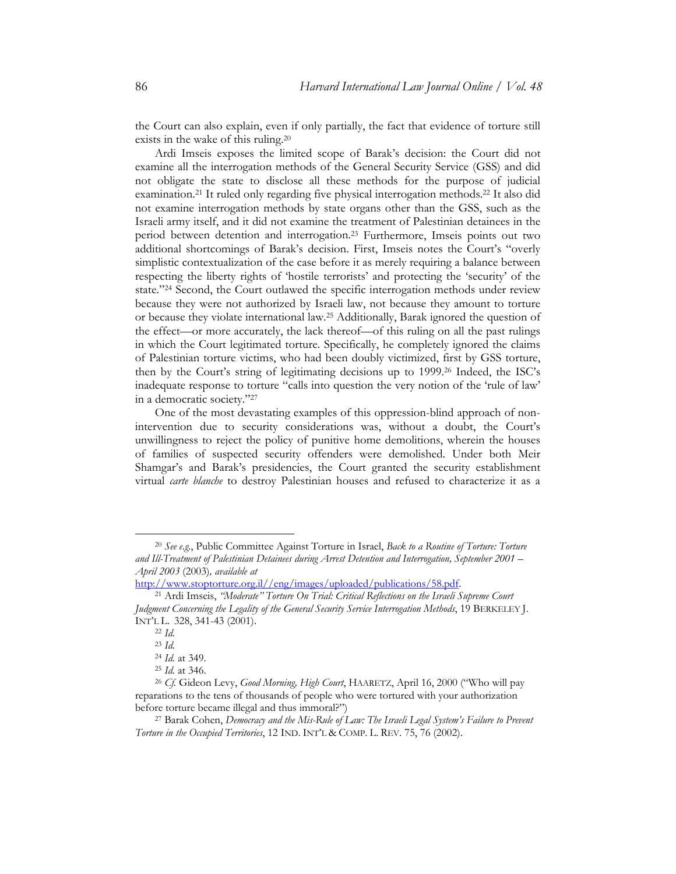the Court can also explain, even if only partially, the fact that evidence of torture still exists in the wake of this ruling.20

 Ardi Imseis exposes the limited scope of Barak's decision: the Court did not examine all the interrogation methods of the General Security Service (GSS) and did not obligate the state to disclose all these methods for the purpose of judicial examination.21 It ruled only regarding five physical interrogation methods.22 It also did not examine interrogation methods by state organs other than the GSS, such as the Israeli army itself, and it did not examine the treatment of Palestinian detainees in the period between detention and interrogation.23 Furthermore, Imseis points out two additional shortcomings of Barak's decision. First, Imseis notes the Court's "overly simplistic contextualization of the case before it as merely requiring a balance between respecting the liberty rights of 'hostile terrorists' and protecting the 'security' of the state."24 Second, the Court outlawed the specific interrogation methods under review because they were not authorized by Israeli law, not because they amount to torture or because they violate international law.25 Additionally, Barak ignored the question of the effect—or more accurately, the lack thereof—of this ruling on all the past rulings in which the Court legitimated torture. Specifically, he completely ignored the claims of Palestinian torture victims, who had been doubly victimized, first by GSS torture, then by the Court's string of legitimating decisions up to 1999.26 Indeed, the ISC's inadequate response to torture "calls into question the very notion of the 'rule of law' in a democratic society."27

 One of the most devastating examples of this oppression-blind approach of nonintervention due to security considerations was, without a doubt, the Court's unwillingness to reject the policy of punitive home demolitions, wherein the houses of families of suspected security offenders were demolished. Under both Meir Shamgar's and Barak's presidencies, the Court granted the security establishment virtual *carte blanche* to destroy Palestinian houses and refused to characterize it as a

<sup>20</sup> *See e.g.*, Public Committee Against Torture in Israel, *Back to a Routine of Torture: Torture and Ill-Treatment of Palestinian Detainees during Arrest Detention and Interrogation, September 2001 – April 2003* (2003)*, available at* 

<sup>&</sup>lt;sup>21</sup> Ardi Imseis, *"Moderate" Torture On Trial: Critical Reflections on the Israeli Supreme Court Judgment Concerning the Legality of the General Security Service Interrogation Methods*, 19 BERKELEY J. INT'L L. 328, 341-43 (2001). 22 *Id.*

<sup>23</sup> *Id.*

<sup>24</sup> *Id.* at 349. 25 *Id.* at 346. 26 *Cf.* Gideon Levy, *Good Morning, High Court*, HAARETZ, April 16, 2000 ("Who will pay reparations to the tens of thousands of people who were tortured with your authorization before torture became illegal and thus immoral?") 27 Barak Cohen, *Democracy and the Mis-Rule of Law: The Israeli Legal System's Failure to Prevent* 

*Torture in the Occupied Territories*, 12 IND. INT'L & COMP. L. REV. 75, 76 (2002).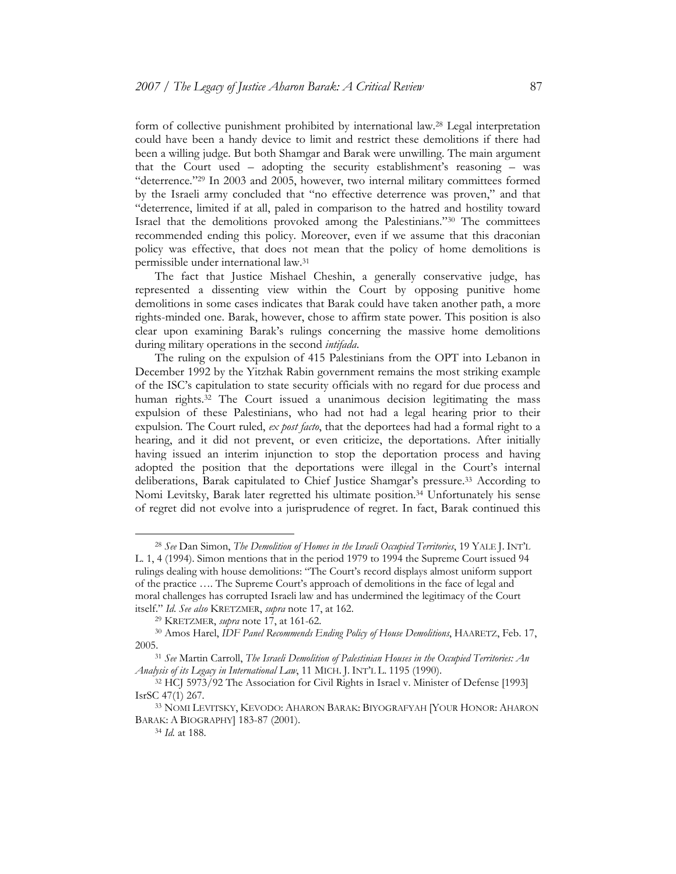form of collective punishment prohibited by international law.28 Legal interpretation could have been a handy device to limit and restrict these demolitions if there had been a willing judge. But both Shamgar and Barak were unwilling. The main argument that the Court used – adopting the security establishment's reasoning – was "deterrence."29 In 2003 and 2005, however, two internal military committees formed by the Israeli army concluded that "no effective deterrence was proven," and that "deterrence, limited if at all, paled in comparison to the hatred and hostility toward Israel that the demolitions provoked among the Palestinians."30 The committees recommended ending this policy. Moreover, even if we assume that this draconian policy was effective, that does not mean that the policy of home demolitions is permissible under international law.31

 The fact that Justice Mishael Cheshin, a generally conservative judge, has represented a dissenting view within the Court by opposing punitive home demolitions in some cases indicates that Barak could have taken another path, a more rights-minded one. Barak, however, chose to affirm state power. This position is also clear upon examining Barak's rulings concerning the massive home demolitions during military operations in the second *intifada*.

 The ruling on the expulsion of 415 Palestinians from the OPT into Lebanon in December 1992 by the Yitzhak Rabin government remains the most striking example of the ISC's capitulation to state security officials with no regard for due process and human rights.32 The Court issued a unanimous decision legitimating the mass expulsion of these Palestinians, who had not had a legal hearing prior to their expulsion. The Court ruled, *ex post facto*, that the deportees had had a formal right to a hearing, and it did not prevent, or even criticize, the deportations. After initially having issued an interim injunction to stop the deportation process and having adopted the position that the deportations were illegal in the Court's internal deliberations, Barak capitulated to Chief Justice Shamgar's pressure.33 According to Nomi Levitsky, Barak later regretted his ultimate position.34 Unfortunately his sense of regret did not evolve into a jurisprudence of regret. In fact, Barak continued this

<sup>28</sup> *See* Dan Simon, *The Demolition of Homes in the Israeli Occupied Territories*, 19 YALE J. INT'L L. 1, 4 (1994). Simon mentions that in the period 1979 to 1994 the Supreme Court issued 94 rulings dealing with house demolitions: "The Court's record displays almost uniform support of the practice …. The Supreme Court's approach of demolitions in the face of legal and moral challenges has corrupted Israeli law and has undermined the legitimacy of the Court itself." *Id*. *See also* KRETZMER, *supra* note 17, at 162. 29 KRETZMER, *supra* note 17, at 161-62. 30 Amos Harel, *IDF Panel Recommends Ending Policy of House Demolitions*, HAARETZ, Feb. 17,

<sup>2005. 31</sup> *See* Martin Carroll, *The Israeli Demolition of Palestinian Houses in the Occupied Territories: An* 

*Analysis of its Legacy in International Law*, 11 MICH. J. INT'L L. 1195 (1990). 32 HCJ 5973/92 The Association for Civil Rights in Israel v. Minister of Defense [1993]

IsrSC 47(1) 267. 33 NOMI LEVITSKY, KEVODO: AHARON BARAK: BIYOGRAFYAH [YOUR HONOR: AHARON

BARAK: <sup>A</sup> BIOGRAPHY] 183-87 (2001). 34 *Id.* at 188.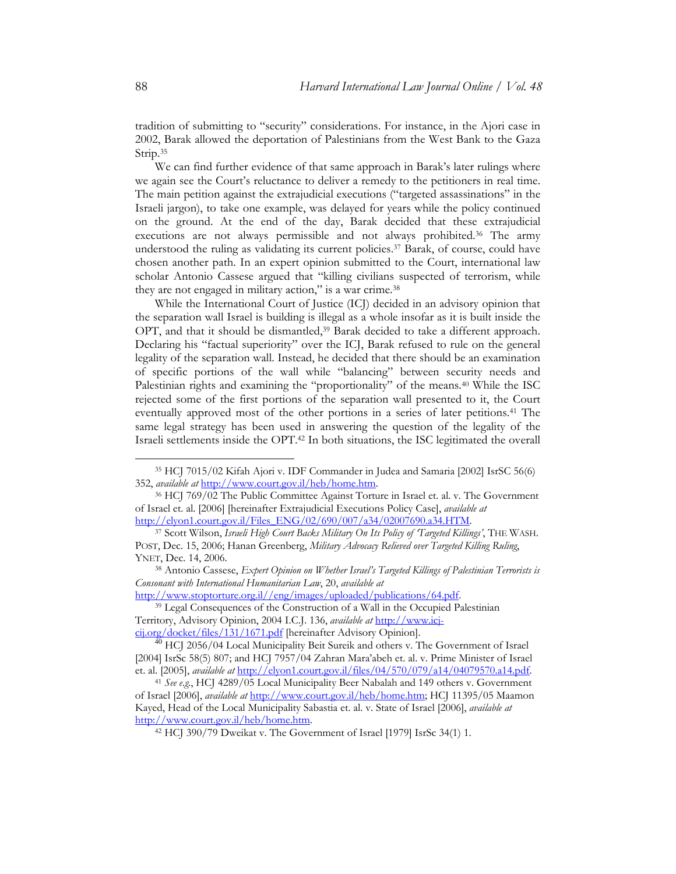tradition of submitting to "security" considerations. For instance, in the Ajori case in 2002, Barak allowed the deportation of Palestinians from the West Bank to the Gaza Strip.<sup>35</sup>

 We can find further evidence of that same approach in Barak's later rulings where we again see the Court's reluctance to deliver a remedy to the petitioners in real time. The main petition against the extrajudicial executions ("targeted assassinations" in the Israeli jargon), to take one example, was delayed for years while the policy continued on the ground. At the end of the day, Barak decided that these extrajudicial executions are not always permissible and not always prohibited.36 The army understood the ruling as validating its current policies.37 Barak, of course, could have chosen another path. In an expert opinion submitted to the Court, international law scholar Antonio Cassese argued that "killing civilians suspected of terrorism, while they are not engaged in military action," is a war crime.38

 While the International Court of Justice (ICJ) decided in an advisory opinion that the separation wall Israel is building is illegal as a whole insofar as it is built inside the OPT, and that it should be dismantled,<sup>39</sup> Barak decided to take a different approach. Declaring his "factual superiority" over the ICJ, Barak refused to rule on the general legality of the separation wall. Instead, he decided that there should be an examination of specific portions of the wall while "balancing" between security needs and Palestinian rights and examining the "proportionality" of the means.<sup>40</sup> While the ISC rejected some of the first portions of the separation wall presented to it, the Court eventually approved most of the other portions in a series of later petitions.41 The same legal strategy has been used in answering the question of the legality of the Israeli settlements inside the OPT.42 In both situations, the ISC legitimated the overall

<sup>35</sup> HCJ 7015/02 Kifah Ajori v. IDF Commander in Judea and Samaria [2002] IsrSC 56(6) 352, *available at* http://www.court.gov.il/heb/home.htm. 36 HCJ 769/02 The Public Committee Against Torture in Israel et. al. v. The Government

of Israel et. al. [2006] [hereinafter Extrajudicial Executions Policy Case], *available at*

http://elyon1.court.gov.il/Files\_ENG/02/690/007/a34/02007690.a34.HTM. 37 Scott Wilson, *Israeli High Court Backs Military On Its Policy of 'Targeted Killings'*, THE WASH. POST, Dec. 15, 2006; Hanan Greenberg, *Military Advocacy Relieved over Targeted Killing Ruling*, YNET, Dec. 14, 2006.

<sup>38</sup> Antonio Cassese, *Expert Opinion on Whether Israel's Targeted Killings of Palestinian Terrorists is Consonant with International Humanitarian Law*, 20, *available at* 

<sup>&</sup>lt;sup>39</sup> Legal Consequences of the Construction of a Wall in the Occupied Palestinian Territory, Advisory Opinion, 2004 I.C.J. 136, *available at* http://www.icjcij.org/docket/files/131/1671.pdf [hereinafter Advisory Opinion].

<sup>&</sup>lt;sup>40</sup> HCJ 2056/04 Local Municipality Beit Sureik and others v. The Government of Israel

<sup>[2004]</sup> IsrSc 58(5) 807; and HCJ 7957/04 Zahran Mara'abeh et. al. v. Prime Minister of Israel et. al. [2005], *available at* http://elyon1.court.gov.il/files/04/570/079/a14/04079570.a14.pdf.

<sup>41</sup> *See e.g.*, HCJ 4289/05 Local Municipality Beer Nabalah and 149 others v. Government of Israel [2006], *available at* http://www.court.gov.il/heb/home.htm; HCJ 11395/05 Maamon Kayed, Head of the Local Municipality Sabastia et. al. v. State of Israel [2006], *available at* http://www.court.gov.il/heb/home.htm. 42 HCJ 390/79 Dweikat v. The Government of Israel [1979] IsrSc 34(1) 1.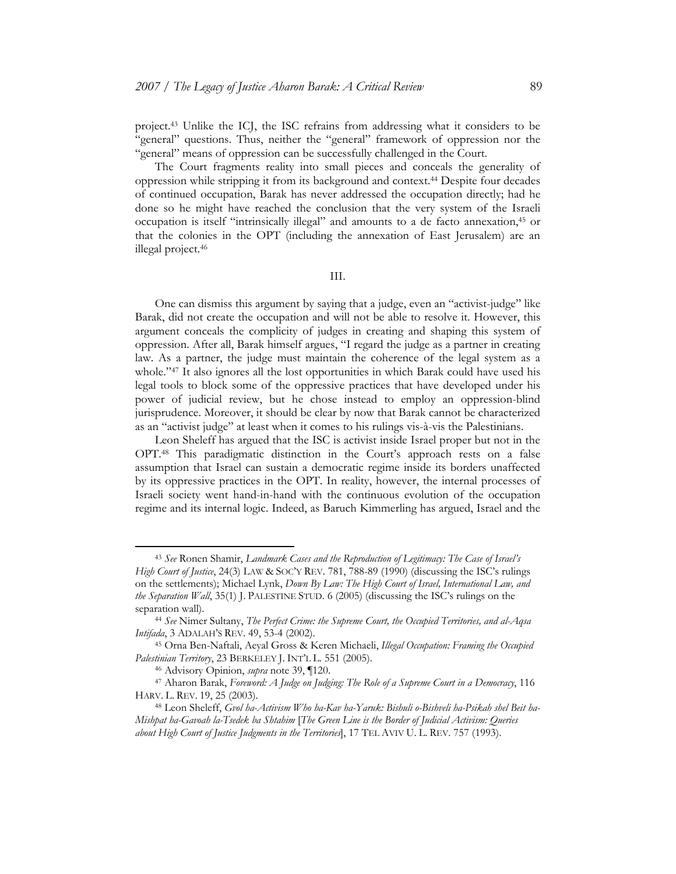project.43 Unlike the ICJ, the ISC refrains from addressing what it considers to be "general" questions. Thus, neither the "general" framework of oppression nor the "general" means of oppression can be successfully challenged in the Court.

 The Court fragments reality into small pieces and conceals the generality of oppression while stripping it from its background and context.44 Despite four decades of continued occupation, Barak has never addressed the occupation directly; had he done so he might have reached the conclusion that the very system of the Israeli occupation is itself "intrinsically illegal" and amounts to a de facto annexation,45 or that the colonies in the OPT (including the annexation of East Jerusalem) are an illegal project.46

III.

 One can dismiss this argument by saying that a judge, even an "activist-judge" like Barak, did not create the occupation and will not be able to resolve it. However, this argument conceals the complicity of judges in creating and shaping this system of oppression. After all, Barak himself argues, "I regard the judge as a partner in creating law. As a partner, the judge must maintain the coherence of the legal system as a whole."<sup>47</sup> It also ignores all the lost opportunities in which Barak could have used his legal tools to block some of the oppressive practices that have developed under his power of judicial review, but he chose instead to employ an oppression-blind jurisprudence. Moreover, it should be clear by now that Barak cannot be characterized as an "activist judge" at least when it comes to his rulings vis-à-vis the Palestinians.

 Leon Sheleff has argued that the ISC is activist inside Israel proper but not in the OPT.48 This paradigmatic distinction in the Court's approach rests on a false assumption that Israel can sustain a democratic regime inside its borders unaffected by its oppressive practices in the OPT. In reality, however, the internal processes of Israeli society went hand-in-hand with the continuous evolution of the occupation regime and its internal logic. Indeed, as Baruch Kimmerling has argued, Israel and the

<sup>43</sup> *See* Ronen Shamir, *Landmark Cases and the Reproduction of Legitimacy: The Case of Israel's High Court of Justice*, 24(3) LAW & SOC'Y REV. 781, 788-89 (1990) (discussing the ISC's rulings on the settlements); Michael Lynk, *Down By Law: The High Court of Israel, International Law, and the Separation Wall*, 35(1) J. PALESTINE STUD. 6 (2005) (discussing the ISC's rulings on the separation wall). 44 *See* Nimer Sultany, *The Perfect Crime: the Supreme Court, the Occupied Territories, and al-Aqsa* 

*Intifada*, 3 ADALAH'S REV. 49, 53-4 (2002). 45 Orna Ben-Naftali, Aeyal Gross & Keren Michaeli, *Illegal Occupation: Framing the Occupied* 

*Palestinian Territory*, 23 BERKELEY J. INT'L L. 551 (2005). 46 Advisory Opinion, *supra* note 39, ¶120. 47 Aharon Barak, *Foreword: A Judge on Judging: The Role of a Supreme Court in a Democracy*, 116

HARV. L. REV. 19, 25 (2003). 48 Leon Sheleff, *Gvol ha-Activism Who ha-Kav ha-Yaruk: Bishuli o-Bishveli ha-Psikah shel Beit ha-*

*Mishpat ha-Gavoah la-Tsedek ba Shtahim* [*The Green Line is the Border of Judicial Activism: Queries about High Court of Justice Judgments in the Territories*], 17 TEL AVIV U. L. REV. 757 (1993).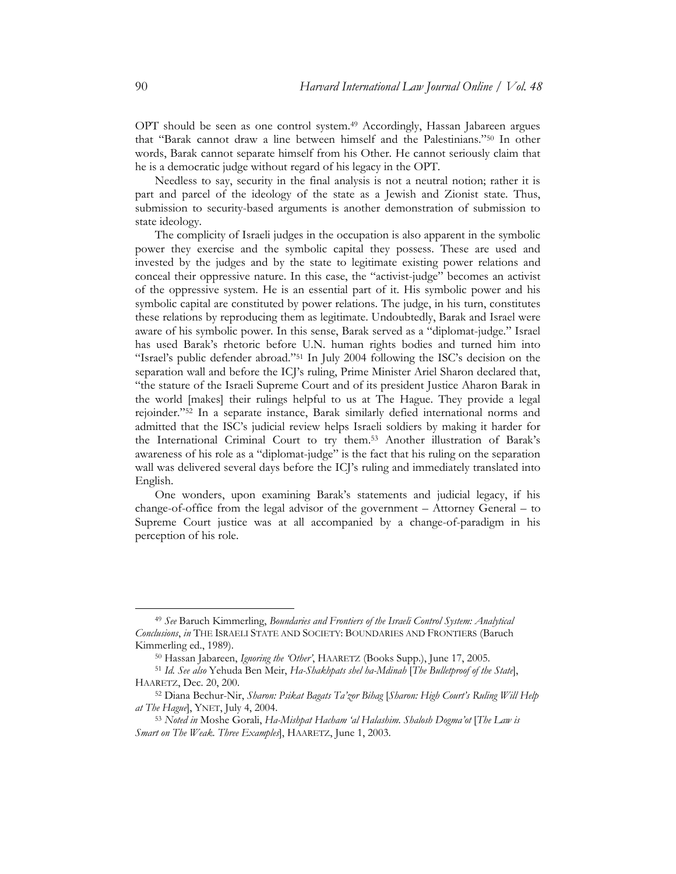OPT should be seen as one control system.49 Accordingly, Hassan Jabareen argues that "Barak cannot draw a line between himself and the Palestinians."50 In other words, Barak cannot separate himself from his Other. He cannot seriously claim that he is a democratic judge without regard of his legacy in the OPT.

 Needless to say, security in the final analysis is not a neutral notion; rather it is part and parcel of the ideology of the state as a Jewish and Zionist state. Thus, submission to security-based arguments is another demonstration of submission to state ideology.

 The complicity of Israeli judges in the occupation is also apparent in the symbolic power they exercise and the symbolic capital they possess. These are used and invested by the judges and by the state to legitimate existing power relations and conceal their oppressive nature. In this case, the "activist-judge" becomes an activist of the oppressive system. He is an essential part of it. His symbolic power and his symbolic capital are constituted by power relations. The judge, in his turn, constitutes these relations by reproducing them as legitimate. Undoubtedly, Barak and Israel were aware of his symbolic power. In this sense, Barak served as a "diplomat-judge." Israel has used Barak's rhetoric before U.N. human rights bodies and turned him into "Israel's public defender abroad."51 In July 2004 following the ISC's decision on the separation wall and before the ICJ's ruling, Prime Minister Ariel Sharon declared that, "the stature of the Israeli Supreme Court and of its president Justice Aharon Barak in the world [makes] their rulings helpful to us at The Hague. They provide a legal rejoinder."52 In a separate instance, Barak similarly defied international norms and admitted that the ISC's judicial review helps Israeli soldiers by making it harder for the International Criminal Court to try them.53 Another illustration of Barak's awareness of his role as a "diplomat-judge" is the fact that his ruling on the separation wall was delivered several days before the ICJ's ruling and immediately translated into English.

 One wonders, upon examining Barak's statements and judicial legacy, if his change-of-office from the legal advisor of the government – Attorney General – to Supreme Court justice was at all accompanied by a change-of-paradigm in his perception of his role.

<sup>49</sup> *See* Baruch Kimmerling, *Boundaries and Frontiers of the Israeli Control System: Analytical Conclusions*, *in* THE ISRAELI STATE AND SOCIETY: BOUNDARIES AND FRONTIERS (Baruch

Kimmerling ed., 1989).<br><sup>50</sup> Hassan Jabareen, *Ignoring the 'Other'*, HAARETZ (Books Supp.), June 17, 2005.<br><sup>51</sup> *Id. See also* Yehuda Ben Meir, *Ha-Shakhpats shel ha-Mdinah* [*The Bulletproof of the State*],<br>HAARETZ, Dec.

<sup>52</sup> Diana Bechur-Nir, *Sharon: Psikat Bagats Ta'zor Bihag [Sharon: High Court's Ruling Will Help at The Hague*], YNET, July 4, 2004. 53 *Noted in* Moshe Gorali, *Ha-Mishpat Hacham 'al Halashim. Shalosh Dogma'ot* [*The Law is* 

*Smart on The Weak. Three Examples*], HAARETZ, June 1, 2003.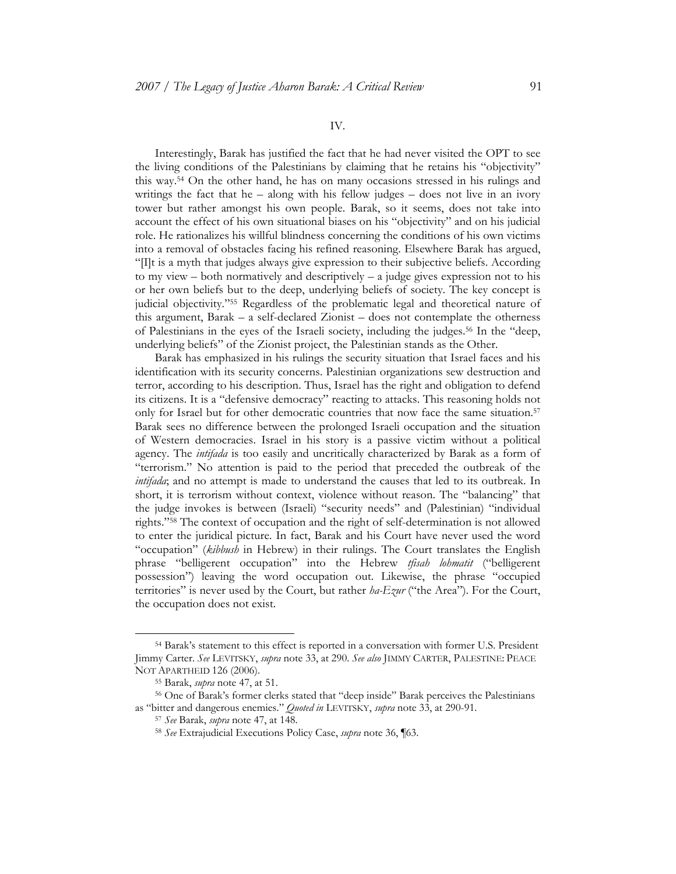## IV.

 Interestingly, Barak has justified the fact that he had never visited the OPT to see the living conditions of the Palestinians by claiming that he retains his "objectivity" this way.54 On the other hand, he has on many occasions stressed in his rulings and writings the fact that he – along with his fellow judges – does not live in an ivory tower but rather amongst his own people. Barak, so it seems, does not take into account the effect of his own situational biases on his "objectivity" and on his judicial role. He rationalizes his willful blindness concerning the conditions of his own victims into a removal of obstacles facing his refined reasoning. Elsewhere Barak has argued, "[I]t is a myth that judges always give expression to their subjective beliefs. According to my view  $-$  both normatively and descriptively  $-$  a judge gives expression not to his or her own beliefs but to the deep, underlying beliefs of society. The key concept is judicial objectivity."55 Regardless of the problematic legal and theoretical nature of this argument, Barak – a self-declared Zionist – does not contemplate the otherness of Palestinians in the eyes of the Israeli society, including the judges.56 In the "deep, underlying beliefs" of the Zionist project, the Palestinian stands as the Other.

 Barak has emphasized in his rulings the security situation that Israel faces and his identification with its security concerns. Palestinian organizations sew destruction and terror, according to his description. Thus, Israel has the right and obligation to defend its citizens. It is a "defensive democracy" reacting to attacks. This reasoning holds not only for Israel but for other democratic countries that now face the same situation.<sup>57</sup> Barak sees no difference between the prolonged Israeli occupation and the situation of Western democracies. Israel in his story is a passive victim without a political agency. The *intifada* is too easily and uncritically characterized by Barak as a form of "terrorism." No attention is paid to the period that preceded the outbreak of the *intifada*; and no attempt is made to understand the causes that led to its outbreak. In short, it is terrorism without context, violence without reason. The "balancing" that the judge invokes is between (Israeli) "security needs" and (Palestinian) "individual rights."58 The context of occupation and the right of self-determination is not allowed to enter the juridical picture. In fact, Barak and his Court have never used the word "occupation" (*kibbush* in Hebrew) in their rulings. The Court translates the English phrase "belligerent occupation" into the Hebrew *tfisah lohmatit* ("belligerent possession") leaving the word occupation out. Likewise, the phrase "occupied territories" is never used by the Court, but rather *ha-Ezur* ("the Area"). For the Court, the occupation does not exist.

<sup>54</sup> Barak's statement to this effect is reported in a conversation with former U.S. President Jimmy Carter. *See* LEVITSKY, *supra* note 33, at 290. *See also* JIMMY CARTER, PALESTINE: PEACE

NOT APARTHEID 126 (2006).<br><sup>55</sup> Barak, *supra* note 47, at 51.<br><sup>56</sup> One of Barak's former clerks stated that "deep inside" Barak perceives the Palestinians as "bitter and dangerous enemies." *Quoted in* LEVITSKY, *supra* note 33, at 290-91. 57 *See* Barak, *supra* note 47, at 148. 58 *See* Extrajudicial Executions Policy Case, *supra* note 36, ¶63.